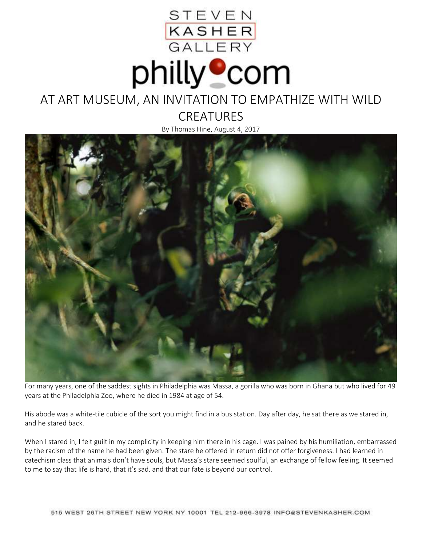



## AT ART MUSEUM, AN INVITATION TO EMPATHIZE WITH WILD

**CREATURES** 

By Thomas Hine, August 4, 2017



For many years, one of the saddest sights in Philadelphia was Massa, a gorilla who was born in Ghana but who lived for 49 years at the Philadelphia Zoo, where he died in 1984 at age of 54.

His abode was a white-tile cubicle of the sort you might find in a bus station. Day after day, he sat there as we stared in, and he stared back.

When I stared in, I felt guilt in my complicity in keeping him there in his cage. I was pained by his humiliation, embarrassed by the racism of the name he had been given. The stare he offered in return did not offer forgiveness. I had learned in catechism class that animals don't have souls, but Massa's stare seemed soulful, an exchange of fellow feeling. It seemed to me to say that life is hard, that it's sad, and that our fate is beyond our control.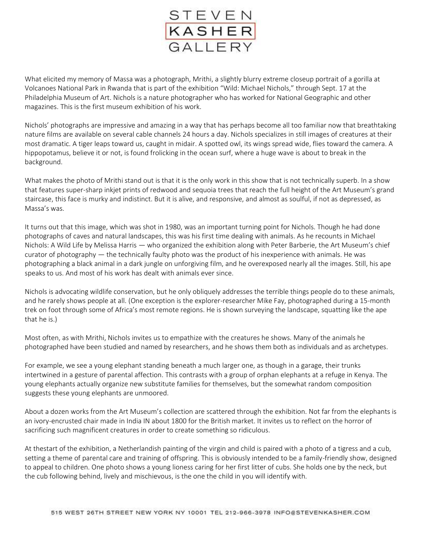

What elicited my memory of Massa was a photograph, Mrithi, a slightly blurry extreme closeup portrait of a gorilla at Volcanoes National Park in Rwanda that is part of the exhibition "Wild: Michael Nichols," through Sept. 17 at the Philadelphia Museum of Art. Nichols is a nature photographer who has worked for National Geographic and other magazines. This is the first museum exhibition of his work.

Nichols' photographs are impressive and amazing in a way that has perhaps become all too familiar now that breathtaking nature films are available on several cable channels 24 hours a day. Nichols specializes in still images of creatures at their most dramatic. A tiger leaps toward us, caught in midair. A spotted owl, its wings spread wide, flies toward the camera. A hippopotamus, believe it or not, is found frolicking in the ocean surf, where a huge wave is about to break in the background.

What makes the photo of Mrithi stand out is that it is the only work in this show that is not technically superb. In a show that features super-sharp inkjet prints of redwood and sequoia trees that reach the full height of the Art Museum's grand staircase, this face is murky and indistinct. But it is alive, and responsive, and almost as soulful, if not as depressed, as Massa's was.

It turns out that this image, which was shot in 1980, was an important turning point for Nichols. Though he had done photographs of caves and natural landscapes, this was his first time dealing with animals. As he recounts in Michael Nichols: A Wild Life by Melissa Harris — who organized the exhibition along with Peter Barberie, the Art Museum's chief curator of photography  $-$  the technically faulty photo was the product of his inexperience with animals. He was photographing a black animal in a dark jungle on unforgiving film, and he overexposed nearly all the images. Still, his ape speaks to us. And most of his work has dealt with animals ever since.

Nichols is advocating wildlife conservation, but he only obliquely addresses the terrible things people do to these animals, and he rarely shows people at all. (One exception is the explorer-researcher Mike Fay, photographed during a 15-month trek on foot through some of Africa's most remote regions. He is shown surveying the landscape, squatting like the ape that he is.)

Most often, as with Mrithi, Nichols invites us to empathize with the creatures he shows. Many of the animals he photographed have been studied and named by researchers, and he shows them both as individuals and as archetypes.

For example, we see a young elephant standing beneath a much larger one, as though in a garage, their trunks intertwined in a gesture of parental affection. This contrasts with a group of orphan elephants at a refuge in Kenya. The young elephants actually organize new substitute families for themselves, but the somewhat random composition suggests these young elephants are unmoored.

About a dozen works from the Art Museum's collection are scattered through the exhibition. Not far from the elephants is an ivory-encrusted chair made in India IN about 1800 for the British market. It invites us to reflect on the horror of sacrificing such magnificent creatures in order to create something so ridiculous.

At thestart of the exhibition, a Netherlandish painting of the virgin and child is paired with a photo of a tigress and a cub, setting a theme of parental care and training of offspring. This is obviously intended to be a family-friendly show, designed to appeal to children. One photo shows a young lioness caring for her first litter of cubs. She holds one by the neck, but the cub following behind, lively and mischievous, is the one the child in you will identify with.